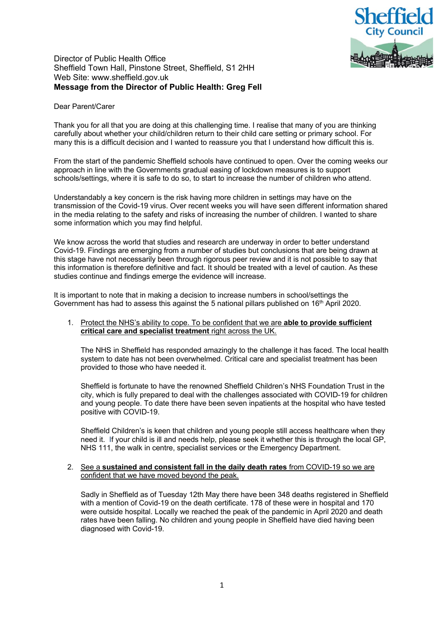

# Director of Public Health Office Sheffield Town Hall, Pinstone Street, Sheffield, S1 2HH Web Site: www.sheffield.gov.uk **Message from the Director of Public Health: Greg Fell**

## Dear Parent/Carer

Thank you for all that you are doing at this challenging time. I realise that many of you are thinking carefully about whether your child/children return to their child care setting or primary school. For many this is a difficult decision and I wanted to reassure you that I understand how difficult this is.

From the start of the pandemic Sheffield schools have continued to open. Over the coming weeks our approach in line with the Governments gradual easing of lockdown measures is to support schools/settings, where it is safe to do so, to start to increase the number of children who attend.

Understandably a key concern is the risk having more children in settings may have on the transmission of the Covid-19 virus. Over recent weeks you will have seen different information shared in the media relating to the safety and risks of increasing the number of children. I wanted to share some information which you may find helpful.

We know across the world that studies and research are underway in order to better understand Covid-19. Findings are emerging from a number of studies but conclusions that are being drawn at this stage have not necessarily been through rigorous peer review and it is not possible to say that this information is therefore definitive and fact. It should be treated with a level of caution. As these studies continue and findings emerge the evidence will increase.

It is important to note that in making a decision to increase numbers in school/settings the Government has had to assess this against the 5 national pillars published on 16<sup>th</sup> April 2020.

## 1. Protect the NHS's ability to cope. To be confident that we are **able to provide sufficient critical care and specialist treatment** right across the UK.

The NHS in Sheffield has responded amazingly to the challenge it has faced. The local health system to date has not been overwhelmed. Critical care and specialist treatment has been provided to those who have needed it.

Sheffield is fortunate to have the renowned Sheffield Children's NHS Foundation Trust in the city, which is fully prepared to deal with the challenges associated with COVID-19 for children and young people. To date there have been seven inpatients at the hospital who have tested positive with COVID-19.

Sheffield Children's is keen that children and young people still access healthcare when they need it. If your child is ill and needs help, please seek it whether this is through the local GP, NHS 111, the walk in centre, specialist services or the Emergency Department.

### 2. See a **sustained and consistent fall in the daily death rates** from COVID-19 so we are confident that we have moved beyond the peak.

Sadly in Sheffield as of Tuesday 12th May there have been 348 deaths registered in Sheffield with a mention of Covid-19 on the death certificate. 178 of these were in hospital and 170 were outside hospital. Locally we reached the peak of the pandemic in April 2020 and death rates have been falling. No children and young people in Sheffield have died having been diagnosed with Covid-19.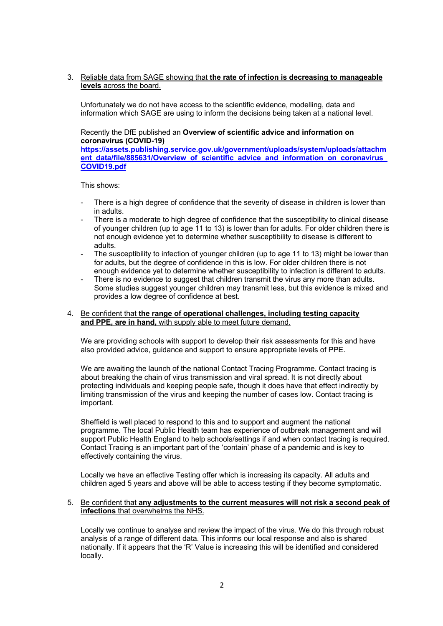3. Reliable data from SAGE showing that **the rate of infection is decreasing to manageable levels** across the board.

Unfortunately we do not have access to the scientific evidence, modelling, data and information which SAGE are using to inform the decisions being taken at a national level.

Recently the DfE published an **Overview of scientific advice and information on coronavirus (COVID-19)** 

**https://assets.publishing.service.gov.uk/government/uploads/system/uploads/attachm ent\_data/file/885631/Overview\_of\_scientific\_advice\_and\_information\_on\_coronavirus COVID19.pdf**

This shows:

- There is a high degree of confidence that the severity of disease in children is lower than in adults.
- There is a moderate to high degree of confidence that the susceptibility to clinical disease of younger children (up to age 11 to 13) is lower than for adults. For older children there is not enough evidence yet to determine whether susceptibility to disease is different to adults.
- The susceptibility to infection of younger children (up to age 11 to 13) might be lower than for adults, but the degree of confidence in this is low. For older children there is not enough evidence yet to determine whether susceptibility to infection is different to adults.
- There is no evidence to suggest that children transmit the virus any more than adults. Some studies suggest younger children may transmit less, but this evidence is mixed and provides a low degree of confidence at best.

### 4. Be confident that **the range of operational challenges, including testing capacity and PPE, are in hand,** with supply able to meet future demand.

We are providing schools with support to develop their risk assessments for this and have also provided advice, guidance and support to ensure appropriate levels of PPE.

We are awaiting the launch of the national Contact Tracing Programme. Contact tracing is about breaking the chain of virus transmission and viral spread. It is not directly about protecting individuals and keeping people safe, though it does have that effect indirectly by limiting transmission of the virus and keeping the number of cases low. Contact tracing is important.

Sheffield is well placed to respond to this and to support and augment the national programme. The local Public Health team has experience of outbreak management and will support Public Health England to help schools/settings if and when contact tracing is required. Contact Tracing is an important part of the 'contain' phase of a pandemic and is key to effectively containing the virus.

Locally we have an effective Testing offer which is increasing its capacity. All adults and children aged 5 years and above will be able to access testing if they become symptomatic.

#### 5. Be confident that **any adjustments to the current measures will not risk a second peak of infections** that overwhelms the NHS.

Locally we continue to analyse and review the impact of the virus. We do this through robust analysis of a range of different data. This informs our local response and also is shared nationally. If it appears that the 'R' Value is increasing this will be identified and considered locally.